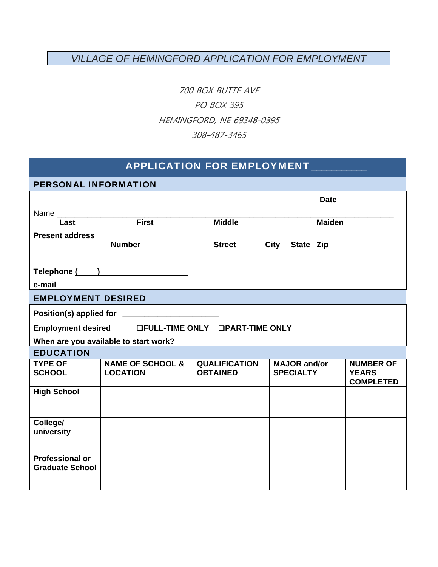## *VILLAGE OF HEMINGFORD APPLICATION FOR EMPLOYMENT*

700 BOX BUTTE AVE PO BOX 395 HEMINGFORD, NE 69348-0395 308-487-3465

## APPLICATION FOR EMPLOYMENT\_

| <b>PERSONAL INFORMATION</b>           |                                                    |                      |                     |                                  |
|---------------------------------------|----------------------------------------------------|----------------------|---------------------|----------------------------------|
|                                       |                                                    |                      |                     |                                  |
|                                       |                                                    |                      |                     |                                  |
| Last                                  | $F$ irst                                           | <b>Middle</b>        | <b>Maiden</b>       |                                  |
|                                       |                                                    |                      |                     |                                  |
|                                       | <b>Number</b>                                      | <b>Street</b>        | City<br>State Zip   |                                  |
|                                       |                                                    |                      |                     |                                  |
|                                       | Telephone ( )                                      |                      |                     |                                  |
| e-mail                                |                                                    |                      |                     |                                  |
| <b>EMPLOYMENT DESIRED</b>             |                                                    |                      |                     |                                  |
|                                       | Position(s) applied for ________________________   |                      |                     |                                  |
|                                       | Employment desired LFULL-TIME ONLY LPART-TIME ONLY |                      |                     |                                  |
| When are you available to start work? |                                                    |                      |                     |                                  |
| <b>EDUCATION</b>                      |                                                    |                      |                     |                                  |
| <b>TYPE OF</b>                        | <b>NAME OF SCHOOL &amp;</b>                        | <b>QUALIFICATION</b> | <b>MAJOR</b> and/or | <b>NUMBER OF</b>                 |
| <b>SCHOOL</b>                         | <b>LOCATION</b>                                    | <b>OBTAINED</b>      | <b>SPECIALTY</b>    | <b>YEARS</b><br><b>COMPLETED</b> |
| <b>High School</b>                    |                                                    |                      |                     |                                  |
|                                       |                                                    |                      |                     |                                  |
| College/                              |                                                    |                      |                     |                                  |
| university                            |                                                    |                      |                     |                                  |
|                                       |                                                    |                      |                     |                                  |
| <b>Professional or</b>                |                                                    |                      |                     |                                  |
| <b>Graduate School</b>                |                                                    |                      |                     |                                  |
|                                       |                                                    |                      |                     |                                  |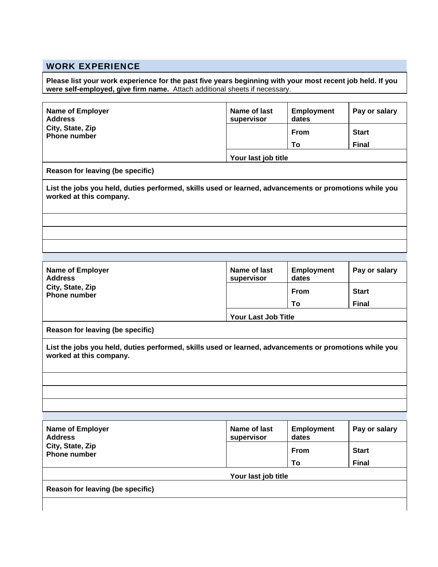## WORK EXPERIENCE

**Please list your work experience for the past five years beginning with your most recent job held. If you were self-employed, give firm name.** Attach additional sheets if necessary.

| <b>Name of Employer</b><br><b>Address</b>                                                                                         | Name of last<br>supervisor | <b>Employment</b><br>dates | Pay or salary |  |  |
|-----------------------------------------------------------------------------------------------------------------------------------|----------------------------|----------------------------|---------------|--|--|
| City, State, Zip<br><b>Phone number</b>                                                                                           |                            | <b>From</b>                | <b>Start</b>  |  |  |
|                                                                                                                                   |                            | To                         | <b>Final</b>  |  |  |
|                                                                                                                                   |                            | Your last job title        |               |  |  |
| Reason for leaving (be specific)                                                                                                  |                            |                            |               |  |  |
| List the jobs you held, duties performed, skills used or learned, advancements or promotions while you<br>worked at this company. |                            |                            |               |  |  |
|                                                                                                                                   |                            |                            |               |  |  |
|                                                                                                                                   |                            |                            |               |  |  |
| <b>Name of Employer</b><br><b>Address</b>                                                                                         | Name of last<br>supervisor | <b>Employment</b><br>dates | Pay or salary |  |  |
| City, State, Zip<br><b>Phone number</b>                                                                                           |                            | <b>From</b>                | <b>Start</b>  |  |  |
|                                                                                                                                   |                            | To                         | <b>Final</b>  |  |  |
|                                                                                                                                   |                            | <b>Your Last Job Title</b> |               |  |  |
|                                                                                                                                   |                            |                            |               |  |  |
| Reason for leaving (be specific)                                                                                                  |                            |                            |               |  |  |
|                                                                                                                                   |                            |                            |               |  |  |
| List the jobs you held, duties performed, skills used or learned, advancements or promotions while you<br>worked at this company. |                            |                            |               |  |  |
|                                                                                                                                   |                            |                            |               |  |  |
|                                                                                                                                   |                            |                            |               |  |  |
|                                                                                                                                   | <b>Name of last</b>        | <b>Employment</b>          |               |  |  |
|                                                                                                                                   | supervisor                 | dates                      |               |  |  |
|                                                                                                                                   |                            | From                       | <b>Start</b>  |  |  |
|                                                                                                                                   |                            | To                         | <b>Final</b>  |  |  |
| Name of Employer<br><b>Address</b><br>City, State, Zip<br><b>Phone number</b><br>Reason for leaving (be specific)                 | Your last job title        |                            | Pay or salary |  |  |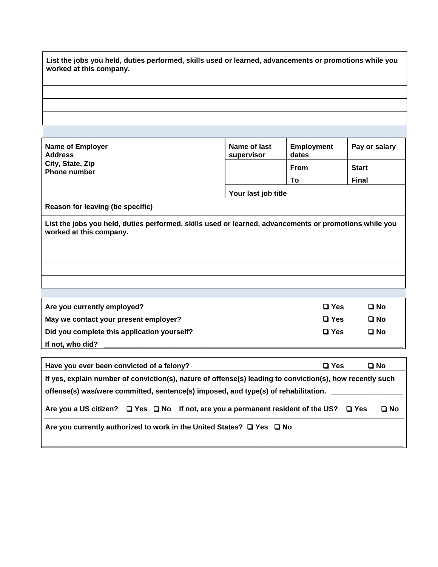| worked at this company.                                                                                                                                                                                                                                                                                         | List the jobs you held, duties performed, skills used or learned, advancements or promotions while you |                            |               |
|-----------------------------------------------------------------------------------------------------------------------------------------------------------------------------------------------------------------------------------------------------------------------------------------------------------------|--------------------------------------------------------------------------------------------------------|----------------------------|---------------|
|                                                                                                                                                                                                                                                                                                                 |                                                                                                        |                            |               |
|                                                                                                                                                                                                                                                                                                                 |                                                                                                        |                            |               |
|                                                                                                                                                                                                                                                                                                                 |                                                                                                        |                            |               |
| <b>Name of Employer</b><br><b>Address</b>                                                                                                                                                                                                                                                                       | Name of last<br>supervisor                                                                             | <b>Employment</b><br>dates | Pay or salary |
| City, State, Zip<br><b>Phone number</b>                                                                                                                                                                                                                                                                         |                                                                                                        | <b>From</b>                | <b>Start</b>  |
|                                                                                                                                                                                                                                                                                                                 |                                                                                                        | To                         | <b>Final</b>  |
|                                                                                                                                                                                                                                                                                                                 | Your last job title                                                                                    |                            |               |
| Reason for leaving (be specific)                                                                                                                                                                                                                                                                                |                                                                                                        |                            |               |
|                                                                                                                                                                                                                                                                                                                 |                                                                                                        |                            |               |
|                                                                                                                                                                                                                                                                                                                 |                                                                                                        |                            |               |
|                                                                                                                                                                                                                                                                                                                 |                                                                                                        |                            |               |
|                                                                                                                                                                                                                                                                                                                 |                                                                                                        | $\square$ Yes              | $\square$ No  |
| List the jobs you held, duties performed, skills used or learned, advancements or promotions while you<br>worked at this company.<br>Are you currently employed?<br>May we contact your present employer?                                                                                                       |                                                                                                        | $\square$ Yes              | $\square$ No  |
|                                                                                                                                                                                                                                                                                                                 |                                                                                                        | $\Box$ Yes                 | $\square$ No  |
|                                                                                                                                                                                                                                                                                                                 |                                                                                                        |                            |               |
|                                                                                                                                                                                                                                                                                                                 |                                                                                                        | $\square$ Yes              | □ No          |
| Did you complete this application yourself?<br>If not, who did?<br>Have you ever been convicted of a felony?<br>If yes, explain number of conviction(s), nature of offense(s) leading to conviction(s), how recently such<br>offense(s) was/were committed, sentence(s) imposed, and type(s) of rehabilitation. |                                                                                                        |                            |               |

**\_\_\_\_\_\_\_\_\_\_\_\_\_\_\_\_\_\_\_\_\_\_\_\_\_\_\_\_\_\_\_\_\_\_\_\_\_\_\_\_\_\_\_\_\_\_\_\_\_\_\_\_\_\_\_\_\_\_\_\_\_\_\_\_\_\_\_\_\_\_\_\_\_\_\_\_\_\_\_\_\_\_\_\_\_\_\_\_\_\_\_** 

**Are you currently authorized to work in the United States? □ Yes □ No**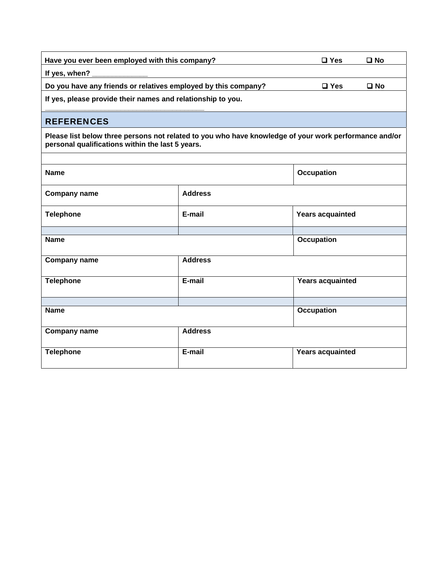| Have you ever been employed with this company?                 | $\square$ Yes | □ No        |
|----------------------------------------------------------------|---------------|-------------|
| If yes, when?                                                  |               |             |
| Do you have any friends or relatives employed by this company? | $\square$ Yes | <b>□ No</b> |
| If yes, please provide their names and relationship to you.    |               |             |
|                                                                |               |             |

### **REFERENCES**

**Please list below three persons not related to you who have knowledge of your work performance and/or personal qualifications within the last 5 years.** 

| <b>Name</b>         |                | Occupation              |
|---------------------|----------------|-------------------------|
| <b>Company name</b> | <b>Address</b> |                         |
| <b>Telephone</b>    | E-mail         | <b>Years acquainted</b> |
|                     |                |                         |
| <b>Name</b>         |                | <b>Occupation</b>       |
| <b>Company name</b> | <b>Address</b> |                         |
| <b>Telephone</b>    | E-mail         | <b>Years acquainted</b> |
|                     |                |                         |
| <b>Name</b>         |                | <b>Occupation</b>       |
| <b>Company name</b> | <b>Address</b> |                         |
| <b>Telephone</b>    | E-mail         | <b>Years acquainted</b> |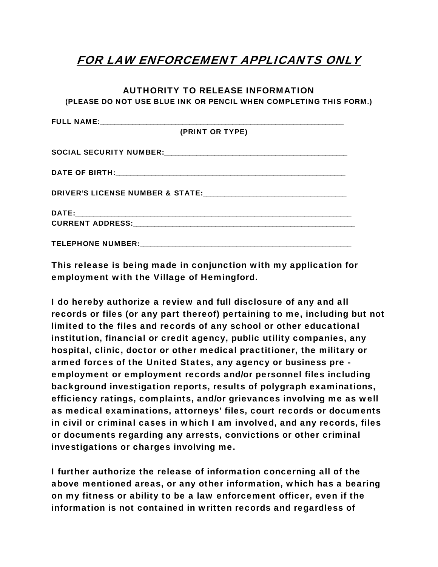# FOR LAW ENFORCEMENT APPLICANTS ONLY

#### AUTHORITY TO RELEASE INFORMATION

(PLEASE DO NOT USE BLUE INK OR PENCIL WHEN COMPLETING THIS FORM.)

This release is being made in conjunction with my application for employment with the Village of Hemingford.

I do hereby authorize a review and full disclosure of any and all records or files (or any part thereof) pertaining to me, including but not limited to the files and records of any school or other educational institution, financial or credit agency, public utility companies, any hospital, clinic, doctor or other medical practitioner, the military or armed forces of the United States, any agency or business pre employment or employment records and/or personnel files including background investigation reports, results of polygraph examinations, efficiency ratings, complaints, and/or grievances involving me as well as medical examinations, attorneys' files, court records or documents in civil or criminal cases in which I am involved, and any records, files or documents regarding any arrests, convictions or other criminal investigations or charges involving me.

I further authorize the release of information concerning all of the above mentioned areas, or any other information, which has a bearing on my fitness or ability to be a law enforcement officer, even if the information is not contained in written records and regardless of